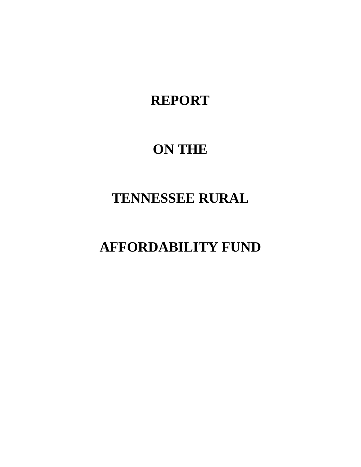# **REPORT**

# **ON THE**

# **TENNESSEE RURAL**

# **AFFORDABILITY FUND**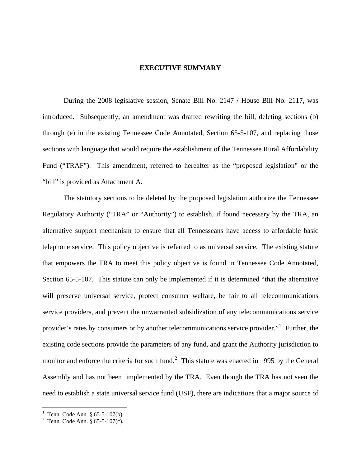#### **EXECUTIVE SUMMARY**

 During the 2008 legislative session, Senate Bill No. 2147 / House Bill No. 2117, was introduced. Subsequently, an amendment was drafted rewriting the bill, deleting sections (b) through (e) in the existing Tennessee Code Annotated, Section 65-5-107, and replacing those sections with language that would require the establishment of the Tennessee Rural Affordability Fund ("TRAF"). This amendment, referred to hereafter as the "proposed legislation" or the "bill" is provided as Attachment A.

 The statutory sections to be deleted by the proposed legislation authorize the Tennessee Regulatory Authority ("TRA" or "Authority") to establish, if found necessary by the TRA, an alternative support mechanism to ensure that all Tennesseans have access to affordable basic telephone service. This policy objective is referred to as universal service. The existing statute that empowers the TRA to meet this policy objective is found in Tennessee Code Annotated, Section 65-5-107. This statute can only be implemented if it is determined "that the alternative will preserve universal service, protect consumer welfare, be fair to all telecommunications service providers, and prevent the unwarranted subsidization of any telecommunications service provider's rates by consumers or by another telecommunications service provider."<sup>[1](#page-1-0)</sup> Further, the existing code sections provide the parameters of any fund, and grant the Authority jurisdiction to monitor and enforce the criteria for such fund.<sup>[2](#page-1-1)</sup> This statute was enacted in 1995 by the General Assembly and has not been implemented by the TRA. Even though the TRA has not seen the need to establish a state universal service fund (USF), there are indications that a major source of

<span id="page-1-1"></span><span id="page-1-0"></span>

<sup>&</sup>lt;sup>1</sup> Tenn. Code Ann. § 65-5-107(b).<br><sup>2</sup> Tenn. Code Ann. § 65-5-107(c).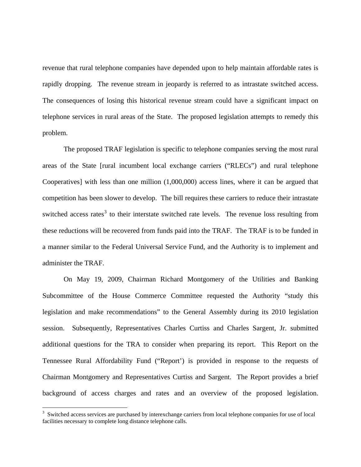revenue that rural telephone companies have depended upon to help maintain affordable rates is rapidly dropping. The revenue stream in jeopardy is referred to as intrastate switched access. The consequences of losing this historical revenue stream could have a significant impact on telephone services in rural areas of the State. The proposed legislation attempts to remedy this problem.

 The proposed TRAF legislation is specific to telephone companies serving the most rural areas of the State [rural incumbent local exchange carriers ("RLECs") and rural telephone Cooperatives] with less than one million (1,000,000) access lines, where it can be argued that competition has been slower to develop. The bill requires these carriers to reduce their intrastate switched access rates<sup>[3](#page-2-0)</sup> to their interstate switched rate levels. The revenue loss resulting from these reductions will be recovered from funds paid into the TRAF. The TRAF is to be funded in a manner similar to the Federal Universal Service Fund, and the Authority is to implement and administer the TRAF.

 On May 19, 2009, Chairman Richard Montgomery of the Utilities and Banking Subcommittee of the House Commerce Committee requested the Authority "study this legislation and make recommendations" to the General Assembly during its 2010 legislation session. Subsequently, Representatives Charles Curtiss and Charles Sargent, Jr. submitted additional questions for the TRA to consider when preparing its report. This Report on the Tennessee Rural Affordability Fund ("Report') is provided in response to the requests of Chairman Montgomery and Representatives Curtiss and Sargent. The Report provides a brief background of access charges and rates and an overview of the proposed legislation.

 $\overline{a}$ 

<span id="page-2-0"></span><sup>&</sup>lt;sup>3</sup> Switched access services are purchased by interexchange carriers from local telephone companies for use of local facilities necessary to complete long distance telephone calls.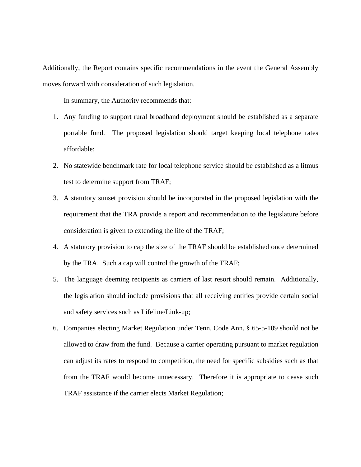Additionally, the Report contains specific recommendations in the event the General Assembly moves forward with consideration of such legislation.

In summary, the Authority recommends that:

- 1. Any funding to support rural broadband deployment should be established as a separate portable fund. The proposed legislation should target keeping local telephone rates affordable;
- 2. No statewide benchmark rate for local telephone service should be established as a litmus test to determine support from TRAF;
- 3. A statutory sunset provision should be incorporated in the proposed legislation with the requirement that the TRA provide a report and recommendation to the legislature before consideration is given to extending the life of the TRAF;
- 4. A statutory provision to cap the size of the TRAF should be established once determined by the TRA. Such a cap will control the growth of the TRAF;
- 5. The language deeming recipients as carriers of last resort should remain. Additionally, the legislation should include provisions that all receiving entities provide certain social and safety services such as Lifeline/Link-up;
- 6. Companies electing Market Regulation under Tenn. Code Ann. § 65-5-109 should not be allowed to draw from the fund. Because a carrier operating pursuant to market regulation can adjust its rates to respond to competition, the need for specific subsidies such as that from the TRAF would become unnecessary. Therefore it is appropriate to cease such TRAF assistance if the carrier elects Market Regulation;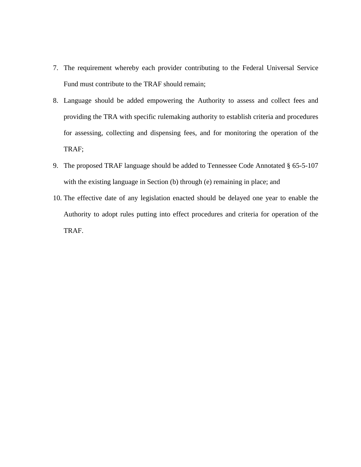- 7. The requirement whereby each provider contributing to the Federal Universal Service Fund must contribute to the TRAF should remain;
- 8. Language should be added empowering the Authority to assess and collect fees and providing the TRA with specific rulemaking authority to establish criteria and procedures for assessing, collecting and dispensing fees, and for monitoring the operation of the TRAF;
- 9. The proposed TRAF language should be added to Tennessee Code Annotated § 65-5-107 with the existing language in Section (b) through (e) remaining in place; and
- 10. The effective date of any legislation enacted should be delayed one year to enable the Authority to adopt rules putting into effect procedures and criteria for operation of the TRAF.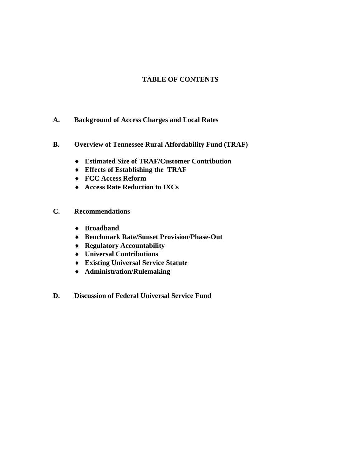# **TABLE OF CONTENTS**

- **A. Background of Access Charges and Local Rates**
- **B. Overview of Tennessee Rural Affordability Fund (TRAF)** 
	- ♦ **Estimated Size of TRAF/Customer Contribution**
	- ♦ **Effects of Establishing the TRAF**
	- ♦ **FCC Access Reform**
	- ♦ **Access Rate Reduction to IXCs**
- **C. Recommendations** 
	- ♦ **Broadband**
	- ♦ **Benchmark Rate/Sunset Provision/Phase-Out**
	- ♦ **Regulatory Accountability**
	- ♦ **Universal Contributions**
	- ♦ **Existing Universal Service Statute**
	- ♦ **Administration/Rulemaking**
- **D. Discussion of Federal Universal Service Fund**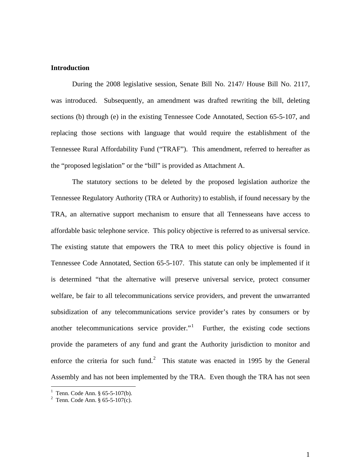### **Introduction**

During the 2008 legislative session, Senate Bill No. 2147/ House Bill No. 2117, was introduced. Subsequently, an amendment was drafted rewriting the bill, deleting sections (b) through (e) in the existing Tennessee Code Annotated, Section 65-5-107, and replacing those sections with language that would require the establishment of the Tennessee Rural Affordability Fund ("TRAF"). This amendment, referred to hereafter as the "proposed legislation" or the "bill" is provided as Attachment A.

 The statutory sections to be deleted by the proposed legislation authorize the Tennessee Regulatory Authority (TRA or Authority) to establish, if found necessary by the TRA, an alternative support mechanism to ensure that all Tennesseans have access to affordable basic telephone service. This policy objective is referred to as universal service. The existing statute that empowers the TRA to meet this policy objective is found in Tennessee Code Annotated, Section 65-5-107. This statute can only be implemented if it is determined "that the alternative will preserve universal service, protect consumer welfare, be fair to all telecommunications service providers, and prevent the unwarranted subsidization of any telecommunications service provider's rates by consumers or by another telecommunications service provider. $i<sup>1</sup>$  $i<sup>1</sup>$  $i<sup>1</sup>$  Further, the existing code sections provide the parameters of any fund and grant the Authority jurisdiction to monitor and enforce the criteria for such fund.<sup>[2](#page-6-1)</sup> This statute was enacted in 1995 by the General Assembly and has not been implemented by the TRA. Even though the TRA has not seen

 $\overline{a}$ 

<sup>&</sup>lt;sup>1</sup> Tenn. Code Ann. § 65-5-107(b).

<span id="page-6-1"></span><span id="page-6-0"></span><sup>&</sup>lt;sup>2</sup> Tenn. Code Ann. § 65-5-107(c).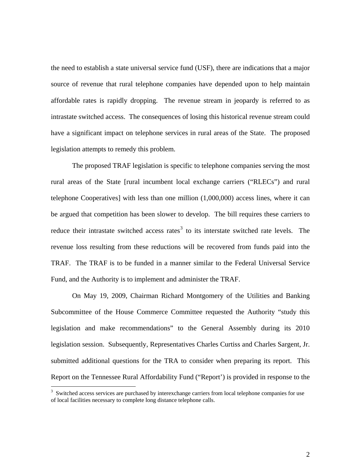the need to establish a state universal service fund (USF), there are indications that a major source of revenue that rural telephone companies have depended upon to help maintain affordable rates is rapidly dropping. The revenue stream in jeopardy is referred to as intrastate switched access. The consequences of losing this historical revenue stream could have a significant impact on telephone services in rural areas of the State. The proposed legislation attempts to remedy this problem.

 The proposed TRAF legislation is specific to telephone companies serving the most rural areas of the State [rural incumbent local exchange carriers ("RLECs") and rural telephone Cooperatives] with less than one million (1,000,000) access lines, where it can be argued that competition has been slower to develop. The bill requires these carriers to reduce their intrastate switched access rates<sup>[3](#page-7-0)</sup> to its interstate switched rate levels. The revenue loss resulting from these reductions will be recovered from funds paid into the TRAF. The TRAF is to be funded in a manner similar to the Federal Universal Service Fund, and the Authority is to implement and administer the TRAF.

 On May 19, 2009, Chairman Richard Montgomery of the Utilities and Banking Subcommittee of the House Commerce Committee requested the Authority "study this legislation and make recommendations" to the General Assembly during its 2010 legislation session. Subsequently, Representatives Charles Curtiss and Charles Sargent, Jr. submitted additional questions for the TRA to consider when preparing its report. This Report on the Tennessee Rural Affordability Fund ("Report') is provided in response to the

 $\overline{a}$ 

<span id="page-7-0"></span><sup>&</sup>lt;sup>3</sup> Switched access services are purchased by interexchange carriers from local telephone companies for use of local facilities necessary to complete long distance telephone calls.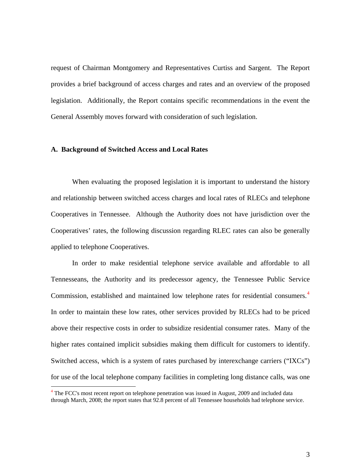request of Chairman Montgomery and Representatives Curtiss and Sargent. The Report provides a brief background of access charges and rates and an overview of the proposed legislation. Additionally, the Report contains specific recommendations in the event the General Assembly moves forward with consideration of such legislation.

#### **A. Background of Switched Access and Local Rates**

 $\overline{a}$ 

When evaluating the proposed legislation it is important to understand the history and relationship between switched access charges and local rates of RLECs and telephone Cooperatives in Tennessee. Although the Authority does not have jurisdiction over the Cooperatives' rates, the following discussion regarding RLEC rates can also be generally applied to telephone Cooperatives.

In order to make residential telephone service available and affordable to all Tennesseans, the Authority and its predecessor agency, the Tennessee Public Service Commission, established and maintained low telephone rates for residential consumers.<sup>[4](#page-8-0)</sup> In order to maintain these low rates, other services provided by RLECs had to be priced above their respective costs in order to subsidize residential consumer rates. Many of the higher rates contained implicit subsidies making them difficult for customers to identify. Switched access, which is a system of rates purchased by interexchange carriers ("IXCs") for use of the local telephone company facilities in completing long distance calls, was one

<span id="page-8-0"></span><sup>&</sup>lt;sup>4</sup> The FCC's most recent report on telephone penetration was issued in August, 2009 and included data through March, 2008; the report states that 92.8 percent of all Tennessee households had telephone service.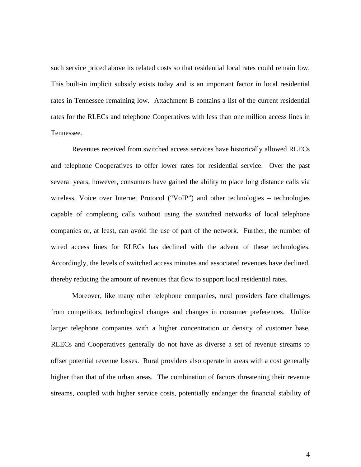such service priced above its related costs so that residential local rates could remain low. This built-in implicit subsidy exists today and is an important factor in local residential rates in Tennessee remaining low. Attachment B contains a list of the current residential rates for the RLECs and telephone Cooperatives with less than one million access lines in Tennessee.

Revenues received from switched access services have historically allowed RLECs and telephone Cooperatives to offer lower rates for residential service. Over the past several years, however, consumers have gained the ability to place long distance calls via wireless, Voice over Internet Protocol ("VoIP") and other technologies – technologies capable of completing calls without using the switched networks of local telephone companies or, at least, can avoid the use of part of the network. Further, the number of wired access lines for RLECs has declined with the advent of these technologies. Accordingly, the levels of switched access minutes and associated revenues have declined, thereby reducing the amount of revenues that flow to support local residential rates.

Moreover, like many other telephone companies, rural providers face challenges from competitors, technological changes and changes in consumer preferences. Unlike larger telephone companies with a higher concentration or density of customer base, RLECs and Cooperatives generally do not have as diverse a set of revenue streams to offset potential revenue losses. Rural providers also operate in areas with a cost generally higher than that of the urban areas. The combination of factors threatening their revenue streams, coupled with higher service costs, potentially endanger the financial stability of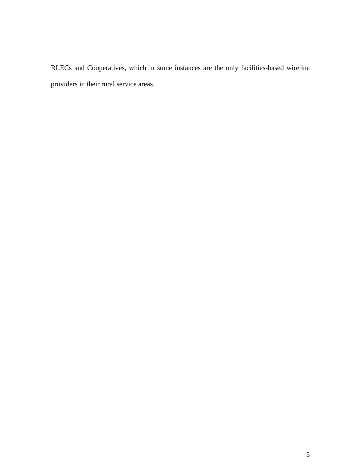RLECs and Cooperatives, which in some instances are the only facilities-based wireline providers in their rural service areas.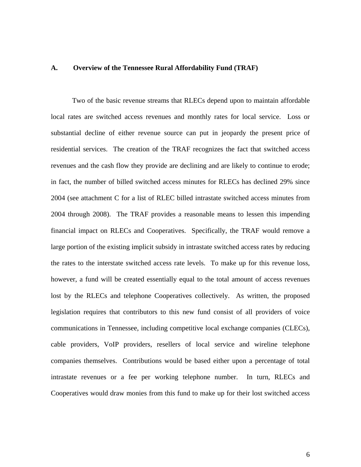#### **A. Overview of the Tennessee Rural Affordability Fund (TRAF)**

Two of the basic revenue streams that RLECs depend upon to maintain affordable local rates are switched access revenues and monthly rates for local service. Loss or substantial decline of either revenue source can put in jeopardy the present price of residential services. The creation of the TRAF recognizes the fact that switched access revenues and the cash flow they provide are declining and are likely to continue to erode; in fact, the number of billed switched access minutes for RLECs has declined 29% since 2004 (see attachment C for a list of RLEC billed intrastate switched access minutes from 2004 through 2008). The TRAF provides a reasonable means to lessen this impending financial impact on RLECs and Cooperatives. Specifically, the TRAF would remove a large portion of the existing implicit subsidy in intrastate switched access rates by reducing the rates to the interstate switched access rate levels. To make up for this revenue loss, however, a fund will be created essentially equal to the total amount of access revenues lost by the RLECs and telephone Cooperatives collectively. As written, the proposed legislation requires that contributors to this new fund consist of all providers of voice communications in Tennessee, including competitive local exchange companies (CLECs), cable providers, VoIP providers, resellers of local service and wireline telephone companies themselves. Contributions would be based either upon a percentage of total intrastate revenues or a fee per working telephone number. In turn, RLECs and Cooperatives would draw monies from this fund to make up for their lost switched access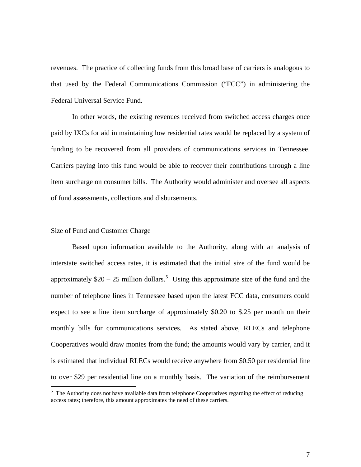revenues. The practice of collecting funds from this broad base of carriers is analogous to that used by the Federal Communications Commission ("FCC") in administering the Federal Universal Service Fund.

In other words, the existing revenues received from switched access charges once paid by IXCs for aid in maintaining low residential rates would be replaced by a system of funding to be recovered from all providers of communications services in Tennessee. Carriers paying into this fund would be able to recover their contributions through a line item surcharge on consumer bills. The Authority would administer and oversee all aspects of fund assessments, collections and disbursements.

#### Size of Fund and Customer Charge

 $\overline{a}$ 

Based upon information available to the Authority, along with an analysis of interstate switched access rates, it is estimated that the initial size of the fund would be approximately  $$20 - 25$  $$20 - 25$  million dollars.<sup>5</sup> Using this approximate size of the fund and the number of telephone lines in Tennessee based upon the latest FCC data, consumers could expect to see a line item surcharge of approximately \$0.20 to \$.25 per month on their monthly bills for communications services. As stated above, RLECs and telephone Cooperatives would draw monies from the fund; the amounts would vary by carrier, and it is estimated that individual RLECs would receive anywhere from \$0.50 per residential line to over \$29 per residential line on a monthly basis. The variation of the reimbursement

<span id="page-12-0"></span><sup>&</sup>lt;sup>5</sup> The Authority does not have available data from telephone Cooperatives regarding the effect of reducing access rates; therefore, this amount approximates the need of these carriers.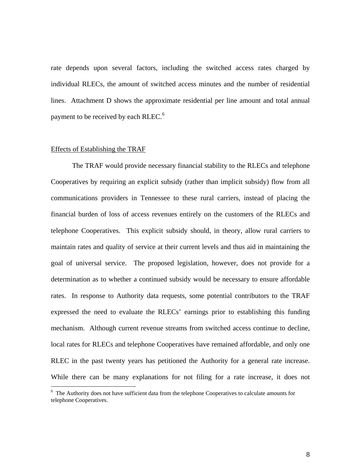rate depends upon several factors, including the switched access rates charged by individual RLECs, the amount of switched access minutes and the number of residential lines. Attachment D shows the approximate residential per line amount and total annual payment to be received by each RLEC.<sup>[6](#page-13-0)</sup>

#### Effects of Establishing the TRAF

 $\overline{a}$ 

The TRAF would provide necessary financial stability to the RLECs and telephone Cooperatives by requiring an explicit subsidy (rather than implicit subsidy) flow from all communications providers in Tennessee to these rural carriers, instead of placing the financial burden of loss of access revenues entirely on the customers of the RLECs and telephone Cooperatives. This explicit subsidy should, in theory, allow rural carriers to maintain rates and quality of service at their current levels and thus aid in maintaining the goal of universal service. The proposed legislation, however, does not provide for a determination as to whether a continued subsidy would be necessary to ensure affordable rates. In response to Authority data requests, some potential contributors to the TRAF expressed the need to evaluate the RLECs' earnings prior to establishing this funding mechanism. Although current revenue streams from switched access continue to decline, local rates for RLECs and telephone Cooperatives have remained affordable, and only one RLEC in the past twenty years has petitioned the Authority for a general rate increase. While there can be many explanations for not filing for a rate increase, it does not

<span id="page-13-0"></span><sup>&</sup>lt;sup>6</sup> The Authority does not have sufficient data from the telephone Cooperatives to calculate amounts for telephone Cooperatives.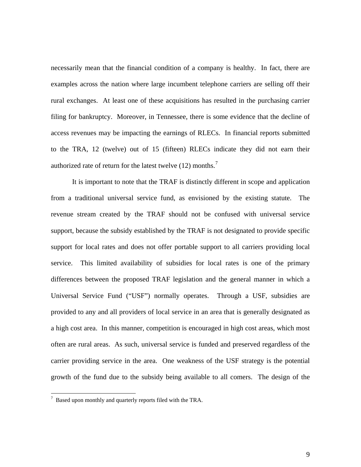necessarily mean that the financial condition of a company is healthy. In fact, there are examples across the nation where large incumbent telephone carriers are selling off their rural exchanges. At least one of these acquisitions has resulted in the purchasing carrier filing for bankruptcy. Moreover, in Tennessee, there is some evidence that the decline of access revenues may be impacting the earnings of RLECs. In financial reports submitted to the TRA, 12 (twelve) out of 15 (fifteen) RLECs indicate they did not earn their authorized rate of return for the latest twelve  $(12)$  months.<sup>[7](#page-14-0)</sup>

It is important to note that the TRAF is distinctly different in scope and application from a traditional universal service fund, as envisioned by the existing statute. The revenue stream created by the TRAF should not be confused with universal service support, because the subsidy established by the TRAF is not designated to provide specific support for local rates and does not offer portable support to all carriers providing local service. This limited availability of subsidies for local rates is one of the primary differences between the proposed TRAF legislation and the general manner in which a Universal Service Fund ("USF") normally operates. Through a USF, subsidies are provided to any and all providers of local service in an area that is generally designated as a high cost area. In this manner, competition is encouraged in high cost areas, which most often are rural areas. As such, universal service is funded and preserved regardless of the carrier providing service in the area. One weakness of the USF strategy is the potential growth of the fund due to the subsidy being available to all comers. The design of the

<span id="page-14-0"></span><sup>&</sup>lt;sup>7</sup> Based upon monthly and quarterly reports filed with the TRA.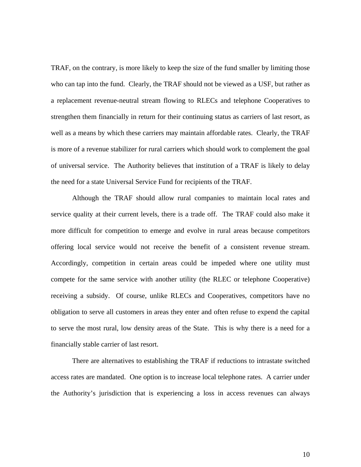TRAF, on the contrary, is more likely to keep the size of the fund smaller by limiting those who can tap into the fund. Clearly, the TRAF should not be viewed as a USF, but rather as a replacement revenue-neutral stream flowing to RLECs and telephone Cooperatives to strengthen them financially in return for their continuing status as carriers of last resort, as well as a means by which these carriers may maintain affordable rates. Clearly, the TRAF is more of a revenue stabilizer for rural carriers which should work to complement the goal of universal service. The Authority believes that institution of a TRAF is likely to delay the need for a state Universal Service Fund for recipients of the TRAF.

Although the TRAF should allow rural companies to maintain local rates and service quality at their current levels, there is a trade off. The TRAF could also make it more difficult for competition to emerge and evolve in rural areas because competitors offering local service would not receive the benefit of a consistent revenue stream. Accordingly, competition in certain areas could be impeded where one utility must compete for the same service with another utility (the RLEC or telephone Cooperative) receiving a subsidy. Of course, unlike RLECs and Cooperatives, competitors have no obligation to serve all customers in areas they enter and often refuse to expend the capital to serve the most rural, low density areas of the State. This is why there is a need for a financially stable carrier of last resort.

There are alternatives to establishing the TRAF if reductions to intrastate switched access rates are mandated. One option is to increase local telephone rates. A carrier under the Authority's jurisdiction that is experiencing a loss in access revenues can always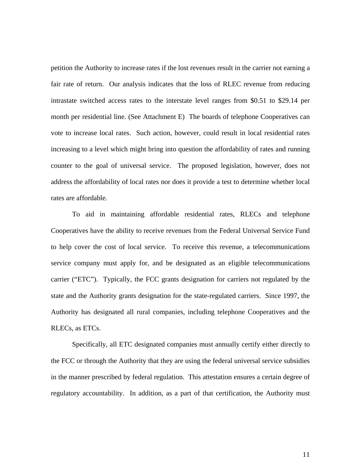petition the Authority to increase rates if the lost revenues result in the carrier not earning a fair rate of return. Our analysis indicates that the loss of RLEC revenue from reducing intrastate switched access rates to the interstate level ranges from \$0.51 to \$29.14 per month per residential line. (See Attachment E) The boards of telephone Cooperatives can vote to increase local rates. Such action, however, could result in local residential rates increasing to a level which might bring into question the affordability of rates and running counter to the goal of universal service. The proposed legislation, however, does not address the affordability of local rates nor does it provide a test to determine whether local rates are affordable.

To aid in maintaining affordable residential rates, RLECs and telephone Cooperatives have the ability to receive revenues from the Federal Universal Service Fund to help cover the cost of local service. To receive this revenue, a telecommunications service company must apply for, and be designated as an eligible telecommunications carrier ("ETC"). Typically, the FCC grants designation for carriers not regulated by the state and the Authority grants designation for the state-regulated carriers. Since 1997, the Authority has designated all rural companies, including telephone Cooperatives and the RLECs, as ETCs.

Specifically, all ETC designated companies must annually certify either directly to the FCC or through the Authority that they are using the federal universal service subsidies in the manner prescribed by federal regulation. This attestation ensures a certain degree of regulatory accountability. In addition, as a part of that certification, the Authority must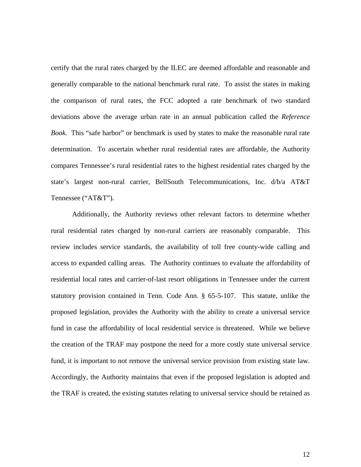certify that the rural rates charged by the ILEC are deemed affordable and reasonable and generally comparable to the national benchmark rural rate. To assist the states in making the comparison of rural rates, the FCC adopted a rate benchmark of two standard deviations above the average urban rate in an annual publication called the *Reference Book.* This "safe harbor" or benchmark is used by states to make the reasonable rural rate determination. To ascertain whether rural residential rates are affordable, the Authority compares Tennessee's rural residential rates to the highest residential rates charged by the state's largest non-rural carrier, BellSouth Telecommunications, Inc. d/b/a AT&T Tennessee ("AT&T").

Additionally, the Authority reviews other relevant factors to determine whether rural residential rates charged by non-rural carriers are reasonably comparable. This review includes service standards, the availability of toll free county-wide calling and access to expanded calling areas. The Authority continues to evaluate the affordability of residential local rates and carrier-of-last resort obligations in Tennessee under the current statutory provision contained in Tenn. Code Ann. § 65-5-107. This statute, unlike the proposed legislation, provides the Authority with the ability to create a universal service fund in case the affordability of local residential service is threatened. While we believe the creation of the TRAF may postpone the need for a more costly state universal service fund, it is important to not remove the universal service provision from existing state law. Accordingly, the Authority maintains that even if the proposed legislation is adopted and the TRAF is created, the existing statutes relating to universal service should be retained as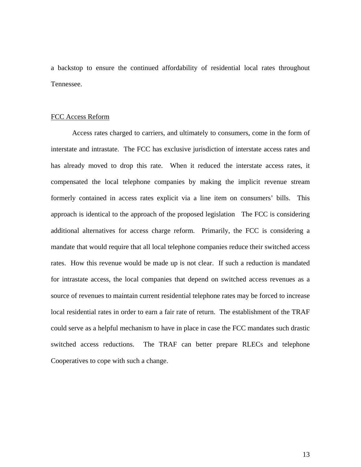a backstop to ensure the continued affordability of residential local rates throughout Tennessee.

#### FCC Access Reform

Access rates charged to carriers, and ultimately to consumers, come in the form of interstate and intrastate. The FCC has exclusive jurisdiction of interstate access rates and has already moved to drop this rate. When it reduced the interstate access rates, it compensated the local telephone companies by making the implicit revenue stream formerly contained in access rates explicit via a line item on consumers' bills. This approach is identical to the approach of the proposed legislation The FCC is considering additional alternatives for access charge reform. Primarily, the FCC is considering a mandate that would require that all local telephone companies reduce their switched access rates. How this revenue would be made up is not clear. If such a reduction is mandated for intrastate access, the local companies that depend on switched access revenues as a source of revenues to maintain current residential telephone rates may be forced to increase local residential rates in order to earn a fair rate of return. The establishment of the TRAF could serve as a helpful mechanism to have in place in case the FCC mandates such drastic switched access reductions. The TRAF can better prepare RLECs and telephone Cooperatives to cope with such a change.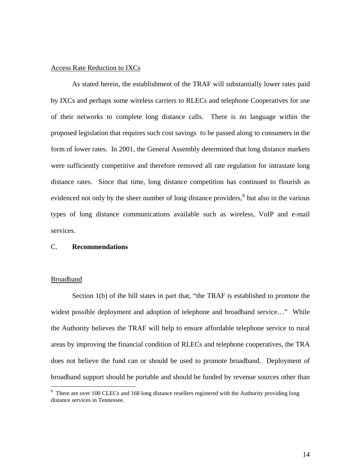### Access Rate Reduction to IXCs

As stated herein, the establishment of the TRAF will substantially lower rates paid by IXCs and perhaps some wireless carriers to RLECs and telephone Cooperatives for use of their networks to complete long distance calls. There is no language within the proposed legislation that requires such cost savings to be passed along to consumers in the form of lower rates. In 2001, the General Assembly determined that long distance markets were sufficiently competitive and therefore removed all rate regulation for intrastate long distance rates. Since that time, long distance competition has continued to flourish as evidenced not only by the sheer number of long distance providers, $<sup>8</sup>$  $<sup>8</sup>$  $<sup>8</sup>$  but also in the various</sup> types of long distance communications available such as wireless, VoIP and e-mail services.

### C. **Recommendations**

#### Broadband

 $\overline{a}$ 

Section 1(b) of the bill states in part that, "the TRAF is established to promote the widest possible deployment and adoption of telephone and broadband service..." While the Authority believes the TRAF will help to ensure affordable telephone service to rural areas by improving the financial condition of RLECs and telephone cooperatives, the TRA does not believe the fund can or should be used to promote broadband. Deployment of broadband support should be portable and should be funded by revenue sources other than

<span id="page-19-0"></span><sup>&</sup>lt;sup>8</sup> There are over 100 CLECs and 168 long distance resellers registered with the Authority providing long distance services in Tennessee.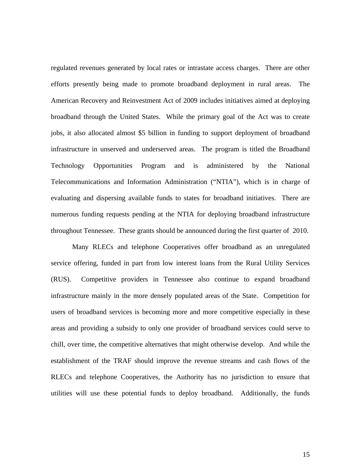regulated revenues generated by local rates or intrastate access charges. There are other efforts presently being made to promote broadband deployment in rural areas. The American Recovery and Reinvestment Act of 2009 includes initiatives aimed at deploying broadband through the United States. While the primary goal of the Act was to create jobs, it also allocated almost \$5 billion in funding to support deployment of broadband infrastructure in unserved and underserved areas. The program is titled the Broadband Technology Opportunities Program and is administered by the National Telecommunications and Information Administration ("NTIA"), which is in charge of evaluating and dispersing available funds to states for broadband initiatives. There are numerous funding requests pending at the NTIA for deploying broadband infrastructure throughout Tennessee. These grants should be announced during the first quarter of 2010.

 Many RLECs and telephone Cooperatives offer broadband as an unregulated service offering, funded in part from low interest loans from the Rural Utility Services (RUS). Competitive providers in Tennessee also continue to expand broadband infrastructure mainly in the more densely populated areas of the State. Competition for users of broadband services is becoming more and more competitive especially in these areas and providing a subsidy to only one provider of broadband services could serve to chill, over time, the competitive alternatives that might otherwise develop. And while the establishment of the TRAF should improve the revenue streams and cash flows of the RLECs and telephone Cooperatives, the Authority has no jurisdiction to ensure that utilities will use these potential funds to deploy broadband. Additionally, the funds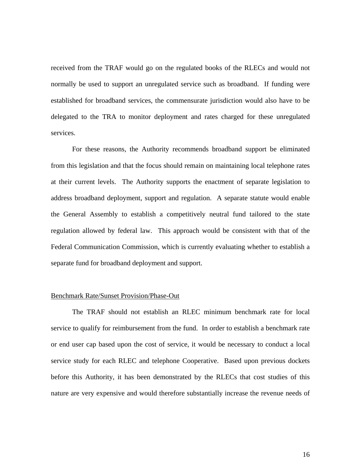received from the TRAF would go on the regulated books of the RLECs and would not normally be used to support an unregulated service such as broadband. If funding were established for broadband services, the commensurate jurisdiction would also have to be delegated to the TRA to monitor deployment and rates charged for these unregulated services.

 For these reasons, the Authority recommends broadband support be eliminated from this legislation and that the focus should remain on maintaining local telephone rates at their current levels. The Authority supports the enactment of separate legislation to address broadband deployment, support and regulation. A separate statute would enable the General Assembly to establish a competitively neutral fund tailored to the state regulation allowed by federal law. This approach would be consistent with that of the Federal Communication Commission, which is currently evaluating whether to establish a separate fund for broadband deployment and support.

#### Benchmark Rate/Sunset Provision/Phase-Out

The TRAF should not establish an RLEC minimum benchmark rate for local service to qualify for reimbursement from the fund. In order to establish a benchmark rate or end user cap based upon the cost of service, it would be necessary to conduct a local service study for each RLEC and telephone Cooperative. Based upon previous dockets before this Authority, it has been demonstrated by the RLECs that cost studies of this nature are very expensive and would therefore substantially increase the revenue needs of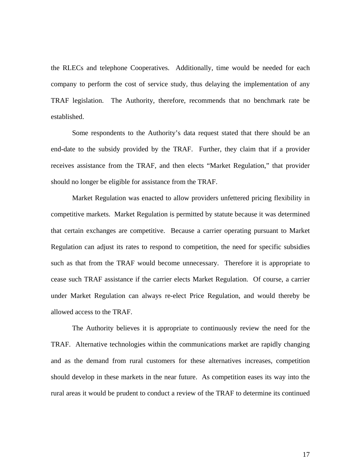the RLECs and telephone Cooperatives. Additionally, time would be needed for each company to perform the cost of service study, thus delaying the implementation of any TRAF legislation. The Authority, therefore, recommends that no benchmark rate be established.

 Some respondents to the Authority's data request stated that there should be an end-date to the subsidy provided by the TRAF. Further, they claim that if a provider receives assistance from the TRAF, and then elects "Market Regulation," that provider should no longer be eligible for assistance from the TRAF.

Market Regulation was enacted to allow providers unfettered pricing flexibility in competitive markets. Market Regulation is permitted by statute because it was determined that certain exchanges are competitive. Because a carrier operating pursuant to Market Regulation can adjust its rates to respond to competition, the need for specific subsidies such as that from the TRAF would become unnecessary. Therefore it is appropriate to cease such TRAF assistance if the carrier elects Market Regulation. Of course, a carrier under Market Regulation can always re-elect Price Regulation, and would thereby be allowed access to the TRAF.

 The Authority believes it is appropriate to continuously review the need for the TRAF. Alternative technologies within the communications market are rapidly changing and as the demand from rural customers for these alternatives increases, competition should develop in these markets in the near future. As competition eases its way into the rural areas it would be prudent to conduct a review of the TRAF to determine its continued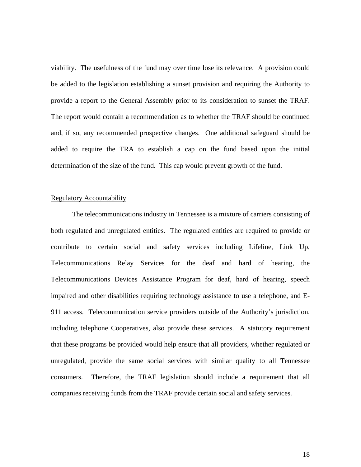viability. The usefulness of the fund may over time lose its relevance. A provision could be added to the legislation establishing a sunset provision and requiring the Authority to provide a report to the General Assembly prior to its consideration to sunset the TRAF. The report would contain a recommendation as to whether the TRAF should be continued and, if so, any recommended prospective changes. One additional safeguard should be added to require the TRA to establish a cap on the fund based upon the initial determination of the size of the fund. This cap would prevent growth of the fund.

#### Regulatory Accountability

The telecommunications industry in Tennessee is a mixture of carriers consisting of both regulated and unregulated entities. The regulated entities are required to provide or contribute to certain social and safety services including Lifeline, Link Up, Telecommunications Relay Services for the deaf and hard of hearing, the Telecommunications Devices Assistance Program for deaf, hard of hearing, speech impaired and other disabilities requiring technology assistance to use a telephone, and E-911 access. Telecommunication service providers outside of the Authority's jurisdiction, including telephone Cooperatives, also provide these services. A statutory requirement that these programs be provided would help ensure that all providers, whether regulated or unregulated, provide the same social services with similar quality to all Tennessee consumers. Therefore, the TRAF legislation should include a requirement that all companies receiving funds from the TRAF provide certain social and safety services.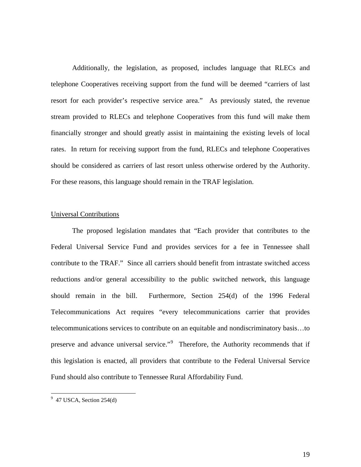Additionally, the legislation, as proposed, includes language that RLECs and telephone Cooperatives receiving support from the fund will be deemed "carriers of last resort for each provider's respective service area." As previously stated, the revenue stream provided to RLECs and telephone Cooperatives from this fund will make them financially stronger and should greatly assist in maintaining the existing levels of local rates. In return for receiving support from the fund, RLECs and telephone Cooperatives should be considered as carriers of last resort unless otherwise ordered by the Authority. For these reasons, this language should remain in the TRAF legislation.

#### Universal Contributions

 The proposed legislation mandates that "Each provider that contributes to the Federal Universal Service Fund and provides services for a fee in Tennessee shall contribute to the TRAF." Since all carriers should benefit from intrastate switched access reductions and/or general accessibility to the public switched network, this language should remain in the bill. Furthermore, Section 254(d) of the 1996 Federal Telecommunications Act requires "every telecommunications carrier that provides telecommunications services to contribute on an equitable and nondiscriminatory basis…to preserve and advance universal service."<sup>[9](#page-24-0)</sup> Therefore, the Authority recommends that if this legislation is enacted, all providers that contribute to the Federal Universal Service Fund should also contribute to Tennessee Rural Affordability Fund.

 $\overline{a}$ 

<span id="page-24-0"></span> $9$  47 USCA, Section 254(d)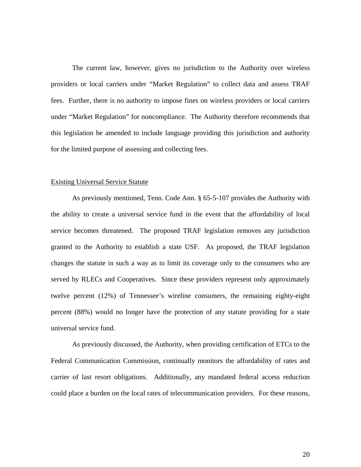The current law, however, gives no jurisdiction to the Authority over wireless providers or local carriers under "Market Regulation" to collect data and assess TRAF fees. Further, there is no authority to impose fines on wireless providers or local carriers under "Market Regulation" for noncompliance. The Authority therefore recommends that this legislation be amended to include language providing this jurisdiction and authority for the limited purpose of assessing and collecting fees.

#### Existing Universal Service Statute

 As previously mentioned, Tenn. Code Ann. § 65-5-107 provides the Authority with the ability to create a universal service fund in the event that the affordability of local service becomes threatened. The proposed TRAF legislation removes any jurisdiction granted to the Authority to establish a state USF. As proposed, the TRAF legislation changes the statute in such a way as to limit its coverage only to the consumers who are served by RLECs and Cooperatives. Since these providers represent only approximately twelve percent (12%) of Tennessee's wireline consumers, the remaining eighty-eight percent (88%) would no longer have the protection of any statute providing for a state universal service fund.

 As previously discussed, the Authority, when providing certification of ETCs to the Federal Communication Commission, continually monitors the affordability of rates and carrier of last resort obligations. Additionally, any mandated federal access reduction could place a burden on the local rates of telecommunication providers. For these reasons,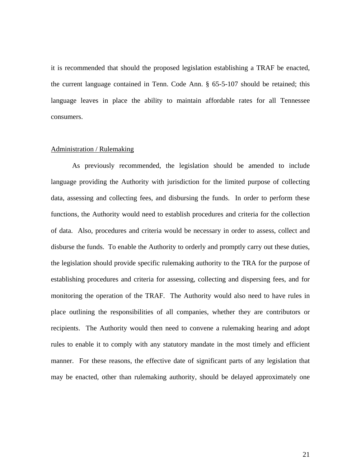it is recommended that should the proposed legislation establishing a TRAF be enacted, the current language contained in Tenn. Code Ann. § 65-5-107 should be retained; this language leaves in place the ability to maintain affordable rates for all Tennessee consumers.

#### Administration / Rulemaking

 As previously recommended, the legislation should be amended to include language providing the Authority with jurisdiction for the limited purpose of collecting data, assessing and collecting fees, and disbursing the funds. In order to perform these functions, the Authority would need to establish procedures and criteria for the collection of data. Also, procedures and criteria would be necessary in order to assess, collect and disburse the funds. To enable the Authority to orderly and promptly carry out these duties, the legislation should provide specific rulemaking authority to the TRA for the purpose of establishing procedures and criteria for assessing, collecting and dispersing fees, and for monitoring the operation of the TRAF. The Authority would also need to have rules in place outlining the responsibilities of all companies, whether they are contributors or recipients. The Authority would then need to convene a rulemaking hearing and adopt rules to enable it to comply with any statutory mandate in the most timely and efficient manner. For these reasons, the effective date of significant parts of any legislation that may be enacted, other than rulemaking authority, should be delayed approximately one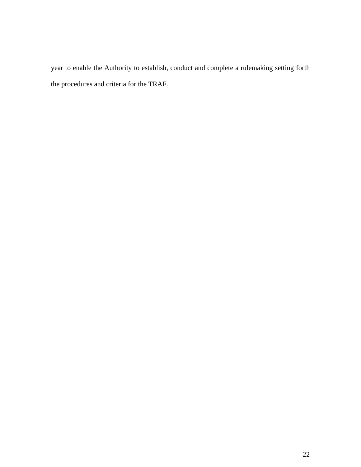year to enable the Authority to establish, conduct and complete a rulemaking setting forth the procedures and criteria for the TRAF.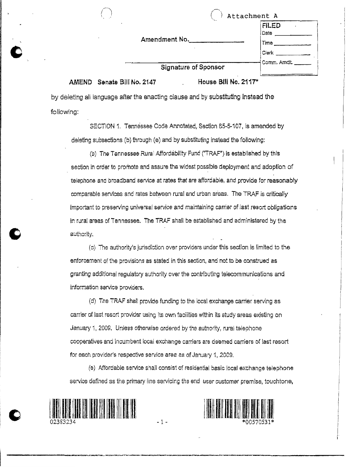| Amendment No. |  |  |  |  |
|---------------|--|--|--|--|
|---------------|--|--|--|--|

|  | Signature of Sponsor |  |
|--|----------------------|--|

AMEND Senate Bill No. 2147

House Bill No. 2117\*

Attachment A

Date

by deleting all language after the enacting clause and by substituting instead the following:

SECTION 1. Tennessee Code Annotated, Section 65-5-107, is amended by deleting subsections (b) through (e) and by substituting instead the following:

(b) The Tennessee Rural Affordability Fund ("TRAF") is established by this section in order to promote and assure the widest possible deployment and adoption of telephone and broadband service at rates that are affordable, and provide for reasonably comparable services and rates between rural and urban areas. The TRAF is critically important to preserving universal service and maintaining carrier of last resort obligations in rural areas of Tennessee. The TRAF shall be established and administered by the authority.

(c) The authority's jurisdiction over providers under this section is limited to the enforcement of the provisions as stated in this section, and not to be construed as granting additional regulatory authority over the contributing telecommunications and information service providers.

(d) The TRAF shall provide funding to the local exchange carrier serving as carrier of last resort provider using its own facilities within its study areas existing on January 1, 2009. Unless otherwise ordered by the authority, rural telephone cooperatives and incumbent local exchange carriers are deemed carriers of last resort for each provider's respective service area as of January 1, 2009.

(e) Affordable service shall consist of residential basic local exchange telephone service defined as the primary line servicing the end user customer premise, touchtone,

 $-1-$ 





Time Clerk

Comm, Amdt.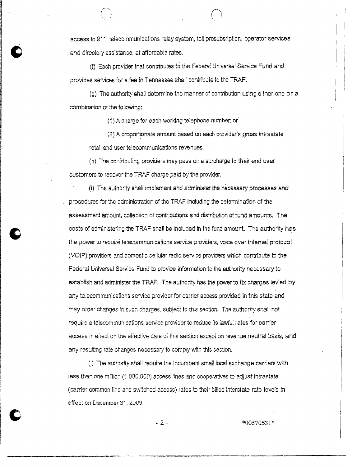access to 911, telecommunications relay system, toll presubsription, operator services and directory assistance, at affordable rates.

(f) Each provider that contributes to the Federal Universal Service Fund and provides services for a fee in Tennessee shall contribute to the TRAF.

(g) The authority shall determine the manner of contribution using either one or a combination of the following:

(1) A charge for each working telephone number; or

(2) A proportionate amount based on each provider's gross intrastate retail end user telecommunications revenues.

(h) The contributing providers may pass on a surcharge to their end user customers to recover the TRAF charge paid by the provider.

(i) The authority shall implement and administer the necessary processes and procedures for the administration of the TRAF including the determination of the assessment amount, collection of contributions and distribution of fund amounts. The costs of administering the TRAF shall be included in the fund amount. The authority has the power to require telecommunications service providers, voice over Internet protocol (VOIP) providers and domestic cellular radio service providers which contribute to the Federal Universal Service Fund to provide information to the authority necessary to establish and administer the TRAF. The authority has the power to fix charges levied by any telecommunications service provider for carrier access provided in this state and may order changes in such charges, subject to this section. The authority shall not require a telecommunications service provider to reduce its lawful rates for carrier access in effect on the effective date of this section except on revenue neutral basis, and any resulting rate changes necessary to comply with this section.

(I) The authority shall require the incumbent small local exchange carriers with less than one million (1,000,000) access lines and cooperatives to adjust intrastate (carrier common line and switched access) rates to their billed interstate rate levels in effect on December 31, 2009.

 $-2-$ 

\*00570531\*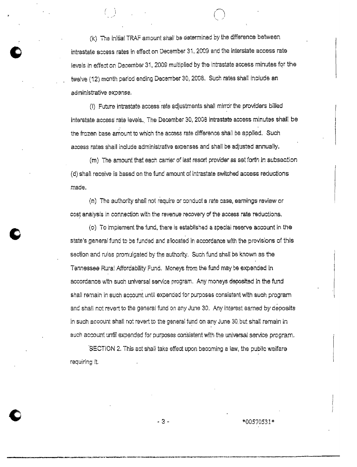(k) The initial TRAF amount shall be determined by the difference between intrastate access rates in effect on December 31, 2009 and the interstate access rate levels in effect on December 31, 2009 multiplied by the intrastate access minutes for the twelve (12) month period ending December 30, 2008. Such rates shall include an administrative expense.

(I) Future intrastate access rate adjustments shall mirror the providers billed interstate access rate levels. The December 30, 2008 intrastate access minutes shall be the frozen base amount to which the access rate difference shall be applied. Such access rates shall include administrative expenses and shall be adjusted annually.

(m) The amount that each carrier of last resort provider as set forth in subsection (d) shall receive is based on the fund amount of intrastate switched access reductions made.

(n) The authority shall not require or conduct a rate case, earnings review or cost analysis in connection with the revenue recovery of the access rate reductions.

(o) To implement the fund, there is established a special reserve account in the state's general fund to be funded and allocated in accordance with the provisions of this section and rules promulgated by the authority. Such fund shall be known as the Tennessee Rura! Affordability Fund. Moneys from the fund may be expended in accordance with such universal service program. Any moneys deposited in the fund shall remain in such account until expended for purposes consistent with such program and shall not revert to the general fund on any June 30. Any interest earned by deposits in such account shall not revert to the general fund on any June 30 but shall remain in such account until expended for purposes consistent with the universal service program.

SECTION 2. This act shall take effect upon becoming a law, the public welfare requiring it.

 $-3-$ 

\*00570531\*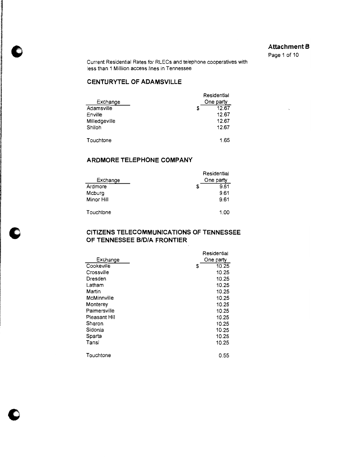#### **Attachment B**

Page 1 of 10

Current Residential Rates for RLECs and telephone cooperatives with less than 1 Milllion access lines in Tennessee

### CENTURYTEL OF ADAMSVILLE

| Exchange<br>Adamsville<br>Enville<br>Milledgeville<br>Shiloh | S | Residential<br>One party<br>12.67<br>12.67<br>12.67<br>12.67 |
|--------------------------------------------------------------|---|--------------------------------------------------------------|
| <b>Touchtone</b>                                             |   | 1.65                                                         |

### ARDMORE TELEPHONE COMPANY

| Exchange<br>Ardmore<br>Mcburg<br>Minor Hill | Residential<br>One party<br>9.61<br>S<br>9.61<br>9.61 |
|---------------------------------------------|-------------------------------------------------------|
| Touchtone                                   | 1.00                                                  |

## CITIZENS TELECOMMUNICATIONS OF TENNESSEE OF TENNESSEE B/D/A FRONTIER

|               | Residential |
|---------------|-------------|
| Exchange      | One party   |
| Cookeville    | 10.25<br>S  |
| Crossville    | 10.25       |
| Dresden       | 10.25       |
| Latham        | 10.25       |
| Martin        | 10.25       |
| McMinnville   | 10.25       |
| Monterey      | 10.25       |
| Palmersville  | 10.25       |
| Pleasant Hill | 10.25       |
| Sharon        | 10.25       |
| Sidonia       | 10.25       |
| Sparta        | 10.25       |
| Tansi         | 10.25       |
| Touchtone     | 0.55        |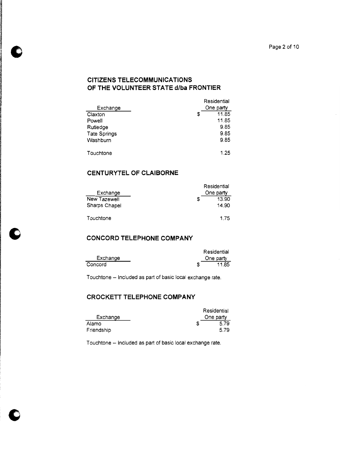# **CITIZENS TELECOMMUNICATIONS** OF THE VOLUNTEER STATE d/ba FRONTIER

| Exchange     | Residential<br>One party |
|--------------|--------------------------|
| Claxton      | \$<br>11.85              |
| Powell       | 11.85                    |
| Rutledge     | 9.85                     |
| Tate Springs | 9.85                     |
| Washburn     | 9.85                     |
| Touchtone    | 1.25                     |

## CENTURYTEL OF CLAIBORNE

|               |   | Residential |
|---------------|---|-------------|
| Exchange      |   | One party   |
| New Tazewell  | S | 13.90       |
| Sharps Chapel |   | 14.90       |
|               |   |             |
| Touchtone     |   | 1.75        |

and the state of the state of

 $\sim$  10  $\sim$ 

## **CONCORD TELEPHONE COMPANY**

|          | Residential |
|----------|-------------|
| Exchange | One party   |
| Concord  | 11.85       |

Touchtone - Included as part of basic local exchange rate.

### **CROCKETT TELEPHONE COMPANY**

|            | Residential |
|------------|-------------|
| Exchange   | One party   |
| Alamo      | 5.79        |
| Friendship | 5.79        |

Touchtone - Included as part of basic local exchange rate.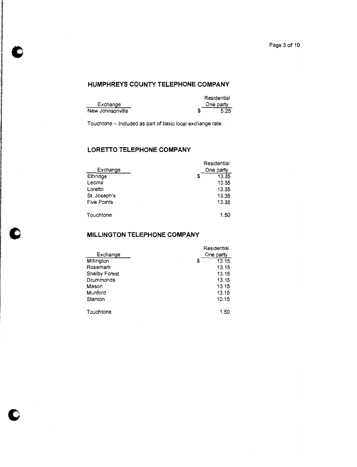## HUMPHREYS COUNTY TELEPHONE COMPANY

|                  | Residential |  |
|------------------|-------------|--|
| Exchange         | One party   |  |
| New Johnsonville | 5.25        |  |

Touchtone - included as part of basic local exchange rate.

## **LORETTO TELEPHONE COMPANY**

| Exchange<br>Ethridge<br>Leoma<br>Loretto<br>St. Joseph's<br><b>Five Points</b> | Residential<br>One party<br>13.35<br>S<br>13.35<br>13.35<br>13.35<br>13.35 |
|--------------------------------------------------------------------------------|----------------------------------------------------------------------------|
| ٠<br>Touchtone                                                                 | 1.50                                                                       |

## MILLINGTON TELEPHONE COMPANY

| Exchange<br>Millington<br>Rosemark<br><b>Shelby Forest</b><br>Drummonds<br>Mason<br>Munford<br>Stanton | Residential<br>One party<br>13.15<br>S<br>13.15<br>13.15<br>13.15<br>13.15<br>13.15<br>10.15 |
|--------------------------------------------------------------------------------------------------------|----------------------------------------------------------------------------------------------|
| Touchtone                                                                                              | 1.50                                                                                         |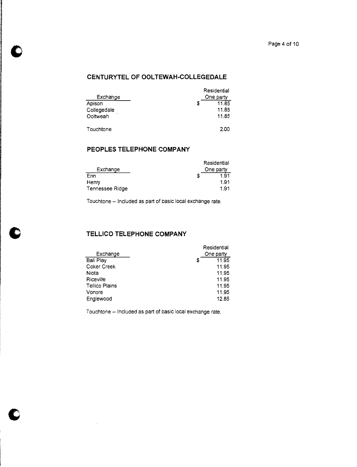## CENTURYTEL OF OOLTEWAH-COLLEGEDALE

|             |   | Residential |
|-------------|---|-------------|
| Exchange    |   | One party   |
| Apison      | S | 11.85       |
| Collegedale |   | 11.85       |
| Ooltweah    |   | 11.85       |
|             |   |             |
| Touchtone   |   | 2.00        |

## PEOPLES TELEPHONE COMPANY

|                 | Residential |
|-----------------|-------------|
| Exchange        | One party   |
| Erin            | 1.91<br>S   |
| Henry           | 1.91        |
| Tennessee Ridge | 1.91        |

Touchtone -- Included as part of basic local exchange rate.

## TELLICO TELEPHONE COMPANY

| Exchange              | Residential<br>One party |
|-----------------------|--------------------------|
|                       |                          |
| Ball Play             | 11.95<br>S               |
| <b>Coker Creek</b>    | 11.95                    |
| Niota                 | 11.95                    |
| Riceville             | 11.95                    |
| <b>Tellico Plains</b> | 11.95                    |
| Vonore                | 11.95                    |
| Englewood             | 12.85                    |

Touchtone -- Included as part of basic local exchange rate.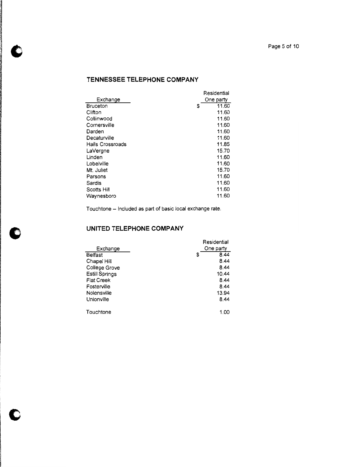# TENNESSEE TELEPHONE COMPANY

|                  | Residential |
|------------------|-------------|
| Exchange         | One party   |
| <b>Bruceton</b>  | \$<br>11.60 |
| Clifton          | 11.60       |
| Collinwood       | 11.60       |
| Cornersville     | 11.60       |
| Darden           | 11.60       |
| Decaturville     | 11.60       |
| Halls Crossroads | 11.85       |
| LaVergne         | 15.70       |
| Linden           | 11.60       |
| Lobelville       | 11.60       |
| Mt. Juliet       | 15.70       |
| Parsons          | 11.60       |
| Sardis           | 11.60       |
| Scotts Hill      | 11.60       |
| Waynesboro       | 11.60       |
|                  |             |

Touchtone - Included as part of basic local exchange rate.

# UNITED TELEPHONE COMPANY

| Exchange<br><b>Belfast</b><br>Chapel Hill<br>College Grove<br>Estill Springs<br><b>Flat Creek</b><br>Fosterville<br>Nolensville<br>Unionville | Residential<br>One party<br>8.44<br>S<br>8.44<br>8.44<br>10.44<br>8.44<br>8.44<br>13.94<br>8.44 |
|-----------------------------------------------------------------------------------------------------------------------------------------------|-------------------------------------------------------------------------------------------------|
| Touchtone                                                                                                                                     | 1.00                                                                                            |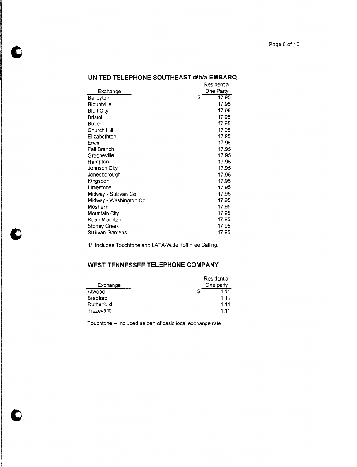#### Page 6 of 10

|                         | Residential |
|-------------------------|-------------|
| Exchange                | One Party   |
| <b>Baileyton</b>        | \$<br>17.95 |
| Biountville             | 17.95       |
| <b>Bluff City</b>       | 17.95       |
| <b>Bristol</b>          | 17.95       |
| <b>Butler</b>           | 17.95       |
| Church Hill             | 17.95       |
| Elizabethton            | 17.95       |
| Erwin                   | 17.95       |
| Fall Branch             | 17.95       |
| Greeneville             | 17.95       |
| Hampton                 | 17.95       |
| Johnson City            | 17.95       |
| Jonesborough            | 17.95       |
| Kingsport               | 17.95       |
| Limestone               | 17.95       |
| Midway - Sullivan Co.   | 17.95       |
| Midway - Washington Co. | 17.95       |
| Mosheim                 | 17.95       |
| Mountain City           | 17.95       |
| Roan Mountain           | 17.95       |
| <b>Stoney Creek</b>     | 17.95       |
| Sullivan Gardens        | 17.95       |

#### UNITED TELEPHONE SOUTHEAST d/b/a EMBARQ

1/ Includes Touchtone and LATA-Wide Toll Free Calling.

# WEST TENNESSEE TELEPHONE COMPANY

| Exchange        | Residential<br>One party |
|-----------------|--------------------------|
| Atwood          | 1.11                     |
| <b>Bradford</b> | 1.11                     |
| Rutherford      | 1.11                     |
| Trezevant       | 1 1 1                    |

Touchtone -- included as part of basic local exchange rate.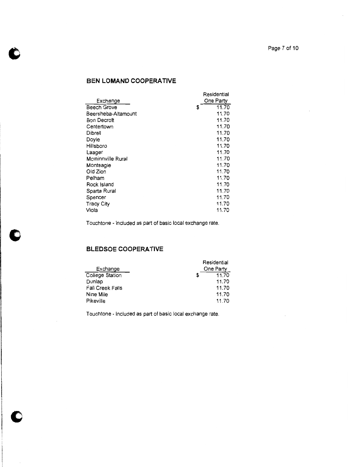## BEN LOMAND COOPERATIVE

| Exchange            |   | Residential<br>One Partv |
|---------------------|---|--------------------------|
| Beech Grove         | S | 11.70                    |
| Beersheba-Altamount |   | 11.70                    |
| Bon Decroft         |   | 11.70                    |
| Centertown          |   | 11.70                    |
| Dibrell             |   | 11.70                    |
| Doyle               |   | 11.70                    |
| Hillsboro           |   | 11.70                    |
| Laager              |   | 11.70                    |
| Mcminnville Rural   |   | 11.70                    |
| Monteagle           |   | 11.70                    |
| Old Zion            |   | 11.70                    |
| Pelham              |   | 11.70                    |
| Rock Island         |   | 11.70                    |
| Sparta Rural        |   | 11.70                    |
| Spencer             |   | 11.70                    |
| <b>Tracy City</b>   |   | 11.70                    |
| Viola               |   | 11.70                    |

Touchtone - Included as part of basic local exchange rate.

# **BLEDSOE COOPERATIVE**

|                         |   | Residential |
|-------------------------|---|-------------|
| Exchange                |   | One Party   |
| College Station         | S | 11.70       |
| Dunlap                  |   | 11.70       |
| <b>Fall Creek Falls</b> |   | 11.70       |
| Nine Mile               |   | 11.70       |
| Pikeville               |   | 11.70       |

Touchtone - Included as part of basic local exchange rate.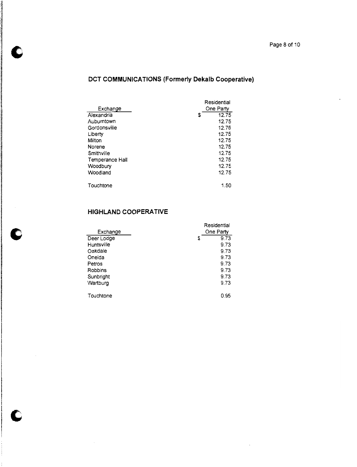# DCT COMMUNICATIONS (Formerly Dekalb Cooperative)

|                 |   | Residential |
|-----------------|---|-------------|
| Exchange        |   | One Party   |
| Alexandria      | S | 12.75       |
| Auburntown      |   | 12.75       |
| Gordonsville    |   | 12.75       |
| Liberty         |   | 12.75       |
| Milton          |   | 12.75       |
| Norene          |   | 12.75       |
| Smithville      |   | 12.75       |
| Temperance Hall |   | 12.75       |
| Woodbury        |   | 12.75       |
| Woodland        |   | 12.75       |
| Touchtone       |   | 1.50        |
|                 |   |             |

# **HIGHLAND COOPERATIVE**

| Exchange       |   | Residential<br>One Party |
|----------------|---|--------------------------|
| Deer Lodge     | S | 9.73                     |
| Huntsville     |   | 9.73                     |
| Oakdale        |   | 9.73                     |
| Oneida         |   | 9.73                     |
| Petros         |   | 9.73                     |
| <b>Robbins</b> |   | 9.73                     |
| Sunbright      |   | 9.73                     |
| Wartburg       |   | 9.73                     |
|                |   |                          |
| Touchtone      |   | 0.95                     |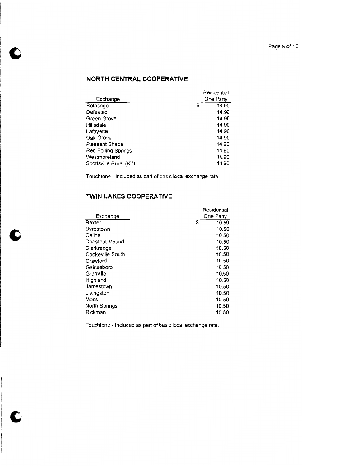# NORTH CENTRAL COOPERATIVE

|                        |   | Residential |
|------------------------|---|-------------|
| Exchange               |   | One Party   |
| Bethpage               | S | 14.90       |
| Defeated               |   | 14.90       |
| Green Grove            |   | 14.90       |
| Hillsdale              |   | 14.90       |
| Lafayette              |   | 14.90       |
| Oak Grove              |   | 14.90       |
| Pleasant Shade         |   | 14.90       |
| Red Boiling Springs    |   | 14.90       |
| Westmoreland           |   | 14.90       |
| Scottsville Rural (KY) |   | 14.90       |

Touchtone - Included as part of basic local exchange rate.

# **TWIN LAKES COOPERATIVE**

|                       | Residential |
|-----------------------|-------------|
| Exchange              | One Party   |
| <b>Baxter</b>         | \$<br>10.50 |
| Byrdstown             | 10.50       |
| Celina                | 10.50       |
| <b>Chestnut Mound</b> | 10.50       |
| Clarkrange            | 10.50       |
| Cookeville South      | 10.50       |
| Crawford              | 10.50       |
| Gainesboro            | 10.50       |
| Granville             | 10.50       |
| Highland              | 10.50       |
| Jamestown             | 10.50       |
| Livingston            | 10.50       |
| Moss                  | 10.50       |
| North Springs         | 10.50       |
| Rickman               | 10.50       |

Touchtone - included as part of basic local exchange rate.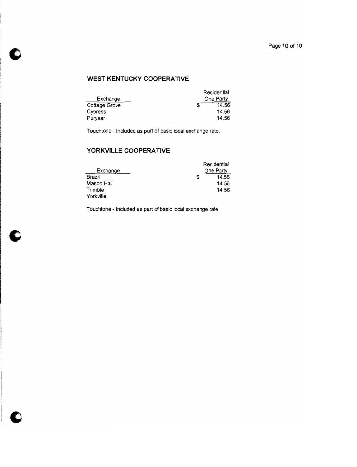# WEST KENTUCKY COOPERATIVE

|               | Residential |  |
|---------------|-------------|--|
| Exchange      | One Party   |  |
| Cottage Grove | 14.56       |  |
| Cypress       | 14.56       |  |
| Puryear       | 14.56       |  |

Touchtone - Included as part of basic local exchange rate.

## YORKVILLE COOPERATIVE

|            | Residential |
|------------|-------------|
| Exchange   | One Party   |
| Brazil     | 14.56       |
| Mason Hall | 14.56       |
| Trimble    | 14.56       |
| Yorkville  |             |

Touchtone - Included as part of basic local exchange rate.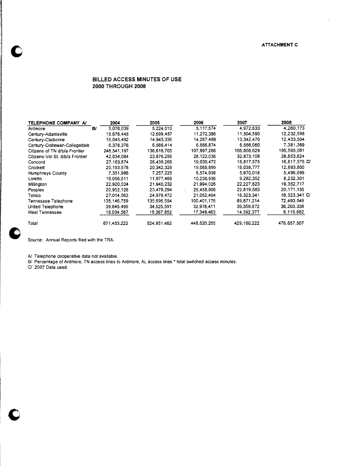$\lambda$ 

#### BILLED ACCESS MINUTES OF USE **2000 THROUGH 2008**

| TELEPHONE COMPANY A/            |    | 2004        | 2005        | 2006        | 2007        | 2008          |
|---------------------------------|----|-------------|-------------|-------------|-------------|---------------|
| Ardmore                         | B/ | 5.078.039   | 5.224,010   | 5.117.574   | 4,972,633   | 4,260,173     |
| Century-Adamsville              |    | 15,676,445  | 12.699.457  | 11,272,386  | 11.504.590  | 12,232.598    |
| Century-Claiborne               |    | 16,045,492  | 14.943.336  | 14.287,489  | 13.342.470  | 12.433.504    |
| Century-Ooltewah-Collegedale    |    | 6,378,376   | 6,586,414   | 6.586.874   | 6,556,060   | 7.381.369     |
| Citizens of TN d/b/a Frontier   |    | 248.541.197 | 136,616,705 | 107,997,266 | 106.808.629 | 195.595.081   |
| Citizens-Vol St. d/b/a Frontier |    | 42,034,084  | 23.876.256  | 28.122.035  | 32,873,108  | 28,653,624    |
| Concord                         |    | 27,183,874  | 26.439.266  | 19.030.472  | 16.817,575  | 16,817,575 C/ |
| Crockett                        |    | 20.193.578  | 20.342.329  | 19.065.899  | 16,038,777  | 12,893,800    |
| Humphreys County                |    | 7,351,986   | 7.257.225   | 6.574.938   | 5.970.018   | 5.496.699     |
| Loretto                         |    | 16.056.611  | 11,977,469  | 10.230.936  | 9.282.352   | 8,232,301     |
| Millington                      |    | 22.920.024  | 21.940.232  | 21.994.026  | 22.227.623  | 19.352.717    |
| Peoples                         |    | 20.952.128  | 23.479.294  | 26,458,906  | 22,819,583  | 20.171.156    |
| Tellico                         |    | 27.014.563  | 24.979.472  | 21.052.404  | 16,323,341  | 16,323,341 C/ |
| Tennessee Telephone             |    | 138.146.759 | 135.696.554 | 100.401.176 | 89.871.214  | 72,493,549    |
| United Telephone                |    | 39.845.499  | 34.525.591  | 32,978.411  | 39,359,872  | 36,203,338    |
| <b>West Tennessee</b>           |    | 18.034.567  | 18.367.852  | 17,349,463  | 14.392.377  | 8,116,682     |
| Total                           |    | 671.453.222 | 524,951,462 | 448.520.255 | 429.160.222 | 476.657.507   |

Source: Annual Reports filed with the TRA.

A/ Telephone cooperative data not available.

B/ Percentage of Ardmore, TN access lines to Ardmore, AL access lines \* total switched access minutes.

C/ 2007 Data used.

 $\mathcal{A}$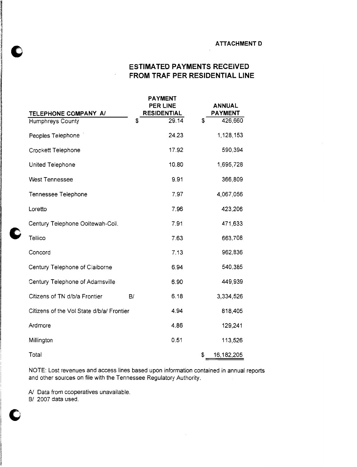#### **ATTACHMENT D**

# **ESTIMATED PAYMENTS RECEIVED** FROM TRAF PER RESIDENTIAL LINE

|                                                 |    | <b>PAYMENT</b><br><b>PER LINE</b> | <b>ANNUAL</b><br><b>PAYMENT</b> |
|-------------------------------------------------|----|-----------------------------------|---------------------------------|
| TELEPHONE COMPANY A/<br><b>Humphreys County</b> | \$ | <b>RESIDENTIAL</b><br>29.14       | \$<br>426,660                   |
| Peoples Telephone                               |    | 24.23                             | 1,128,153                       |
| Crockett Telephone                              |    | 17.92                             | 590,394                         |
| United Telephone                                |    | 10.80                             | 1,695,728                       |
| <b>West Tennessee</b>                           |    | 9.91                              | 366,809                         |
| Tennessee Telephone                             |    | 7.97                              | 4,067,056                       |
| Loretto                                         |    | 7.96                              | 423,206                         |
| Century Telephone Ooltewah-Coll.                |    | 7.91                              | 471,633                         |
| Tellico                                         |    | 7.63                              | 663,708                         |
| Concord                                         |    | 7.13                              | 962,836                         |
| Century Telephone of Claiborne                  |    | 6.94                              | 540,385                         |
| Century Telephone of Adamsville                 |    | 6.90                              | 449,939                         |
| Citizens of TN d/b/a Frontier                   | B/ | 6.18                              | 3,334,526                       |
| Citizens of the Vol State d/b/a/ Frontier       |    | 4.94                              | 818,405                         |
| Ardmore                                         |    | 4.86                              | 129,241                         |
| Millington                                      |    | 0.51                              | 113,526                         |
| Total                                           |    |                                   | \$<br>16, 182, 205              |

 $\ddot{\phantom{0}}$ 

NOTE: Lost revenues and access lines based upon information contained in annual reports and other sources on file with the Tennessee Regulatory Authority.

A/ Data from cooperatives unavailable.<br>B/ 2007 data used.